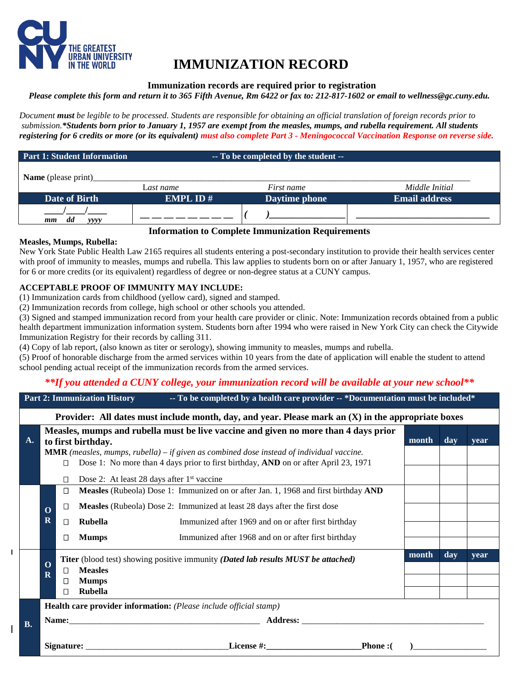

# **IMMUNIZATION RECORD**

#### **Immunization records are required prior to registration**

*Please complete this form and return it to 365 Fifth Avenue, Rm 6422 or fax to: 212-817-1602 or email to wellness@gc.cuny.edu.*

*Document must be legible to be processed. Students are responsible for obtaining an official translation of foreign records prior to submission.\*Students born prior to January 1, 1957 are exempt from the measles, mumps, and rubella requirement. All students registering for 6 credits or more (or its equivalent) must also complete Part 3 - Meningococcal Vaccination Response on reverse side.*

| Part 1: Student Information |                 | -- To be completed by the student -- |                      |
|-----------------------------|-----------------|--------------------------------------|----------------------|
| <b>Name</b> (please print)  |                 |                                      |                      |
|                             | Last name       | <i>First name</i>                    | Middle Initial       |
| Date of Birth               | <b>EMPL ID#</b> | Daytime phone                        | <b>Email address</b> |
| dd<br>yyyy<br>mm            |                 |                                      |                      |

#### **Information to Complete Immunization Requirements**

#### **Measles, Mumps, Rubella:**

 $\mathbf{I}$ 

New York State Public Health Law 2165 requires all students entering a post-secondary institution to provide their health services center with proof of immunity to measles, mumps and rubella. This law applies to students born on or after January 1, 1957, who are registered for 6 or more credits (or its equivalent) regardless of degree or non-degree status at a CUNY campus.

## **ACCEPTABLE PROOF OF IMMUNITY MAY INCLUDE:**

(1) Immunization cards from childhood (yellow card), signed and stamped.

(2) Immunization records from college, high school or other schools you attended.

(3) Signed and stamped immunization record from your health care provider or clinic. Note: Immunization records obtained from a public health department immunization information system. Students born after 1994 who were raised in New York City can check the Citywide Immunization Registry for their records by calling 311.

(4) Copy of lab report, (also known as titer or serology), showing immunity to measles, mumps and rubella.

(5) Proof of honorable discharge from the armed services within 10 years from the date of application will enable the student to attend school pending actual receipt of the immunization records from the armed services.

# *\*\*If you attended a CUNY college, your immunization record will be available at your new school\*\**

| <b>Part 2: Immunization History</b><br>-- To be completed by a health care provider -- *Documentation must be included* |                                        |                  |                                                                              |                                                                                                                                                                                                                                                                                |               |       |     |      |
|-------------------------------------------------------------------------------------------------------------------------|----------------------------------------|------------------|------------------------------------------------------------------------------|--------------------------------------------------------------------------------------------------------------------------------------------------------------------------------------------------------------------------------------------------------------------------------|---------------|-------|-----|------|
| Provider: All dates must include month, day, and year. Please mark an $(X)$ in the appropriate boxes                    |                                        |                  |                                                                              |                                                                                                                                                                                                                                                                                |               |       |     |      |
| A.                                                                                                                      |                                        | Π<br>$\Box$      | to first birthday.<br>Dose 2: At least 28 days after 1 <sup>st</sup> vaccine | Measles, mumps and rubella must be live vaccine and given no more than 4 days prior<br><b>MMR</b> (measles, mumps, rubella) – if given as combined dose instead of individual vaccine.<br>Dose 1: No more than 4 days prior to first birthday, AND on or after April 23, 1971  |               | month | day | vear |
|                                                                                                                         | $\mathbf 0$<br>$\overline{\mathbf{R}}$ | □<br>□<br>□<br>□ | <b>Rubella</b><br><b>Mumps</b>                                               | Measles (Rubeola) Dose 1: Immunized on or after Jan. 1, 1968 and first birthday AND<br>Measles (Rubeola) Dose 2: Immunized at least 28 days after the first dose<br>Immunized after 1969 and on or after first birthday<br>Immunized after 1968 and on or after first birthday |               |       |     |      |
|                                                                                                                         | $\Omega$<br>$\mathbf R$                | $\perp$<br>П     | <b>Measles</b><br><b>Mumps</b><br><b>Rubella</b>                             | <b>Titer</b> (blood test) showing positive immunity (Dated lab results MUST be attached)                                                                                                                                                                                       |               | month | day | year |
|                                                                                                                         |                                        |                  |                                                                              | Health care provider information: (Please include official stamp)                                                                                                                                                                                                              |               |       |     |      |
| <b>B.</b>                                                                                                               |                                        |                  |                                                                              |                                                                                                                                                                                                                                                                                |               |       |     |      |
|                                                                                                                         |                                        |                  |                                                                              |                                                                                                                                                                                                                                                                                | <b>Phone:</b> |       |     |      |